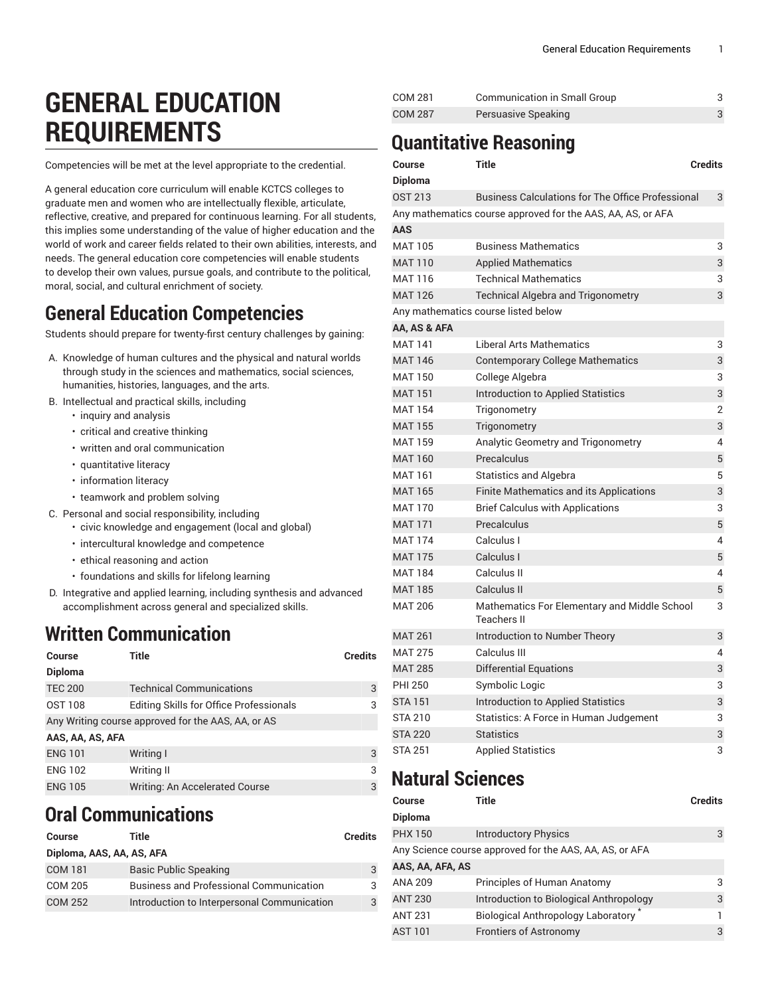# **GENERAL EDUCATION REQUIREMENTS**

Competencies will be met at the level appropriate to the credential.

A general education core curriculum will enable KCTCS colleges to graduate men and women who are intellectually flexible, articulate, reflective, creative, and prepared for continuous learning. For all students, this implies some understanding of the value of higher education and the world of work and career fields related to their own abilities, interests, and needs. The general education core competencies will enable students to develop their own values, pursue goals, and contribute to the political, moral, social, and cultural enrichment of society.

### **General Education Competencies**

Students should prepare for twenty-first century challenges by gaining:

- A. Knowledge of human cultures and the physical and natural worlds through study in the sciences and mathematics, social sciences, humanities, histories, languages, and the arts.
- B. Intellectual and practical skills, including
	- inquiry and analysis
	- critical and creative thinking
	- written and oral communication
	- quantitative literacy
	- information literacy
	- teamwork and problem solving
- C. Personal and social responsibility, including
	- civic knowledge and engagement (local and global)
	- intercultural knowledge and competence
	- ethical reasoning and action
	- foundations and skills for lifelong learning
- D. Integrative and applied learning, including synthesis and advanced accomplishment across general and specialized skills.

# **Written Communication**

| Course                                             | Title                                   | <b>Credits</b> |  |  |
|----------------------------------------------------|-----------------------------------------|----------------|--|--|
| <b>Diploma</b>                                     |                                         |                |  |  |
| <b>TEC 200</b>                                     | <b>Technical Communications</b>         | 3              |  |  |
| <b>OST 108</b>                                     | Editing Skills for Office Professionals | 3              |  |  |
| Any Writing course approved for the AAS, AA, or AS |                                         |                |  |  |
| AAS, AA, AS, AFA                                   |                                         |                |  |  |
| <b>ENG 101</b>                                     | Writing I                               | 3              |  |  |
| <b>ENG 102</b>                                     | Writing II                              | 3              |  |  |
| <b>ENG 105</b>                                     | Writing: An Accelerated Course          | 3              |  |  |

# **Oral Communications**

```
Course Title Credits
Diploma, AAS, AA, AS, AFA
COM 181 Basic Public Speaking 3
COM 205 Business and Professional Communication 3
COM 252 Introduction to Interpersonal Communication 3
```

| <b>COM 281</b> | <b>Communication in Small Group</b>                         | 3              |
|----------------|-------------------------------------------------------------|----------------|
| <b>COM 287</b> | Persuasive Speaking                                         | 3              |
|                | <b>Quantitative Reasoning</b>                               |                |
| Course         | Title                                                       | <b>Credits</b> |
| <b>Diploma</b> |                                                             |                |
| <b>OST 213</b> | <b>Business Calculations for The Office Professional</b>    | 3              |
|                | Any mathematics course approved for the AAS, AA, AS, or AFA |                |
| <b>AAS</b>     |                                                             |                |
| <b>MAT 105</b> | <b>Business Mathematics</b>                                 | 3              |
| <b>MAT110</b>  | <b>Applied Mathematics</b>                                  | 3              |
| <b>MAT 116</b> | <b>Technical Mathematics</b>                                | 3              |
| <b>MAT 126</b> | <b>Technical Algebra and Trigonometry</b>                   | 3              |
|                | Any mathematics course listed below                         |                |
| AA, AS & AFA   |                                                             |                |
| <b>MAT 141</b> | <b>Liberal Arts Mathematics</b>                             | 3              |
| <b>MAT 146</b> | <b>Contemporary College Mathematics</b>                     | 3              |
| <b>MAT 150</b> | College Algebra                                             | 3              |
| <b>MAT 151</b> | Introduction to Applied Statistics                          | 3              |
| <b>MAT 154</b> | Trigonometry                                                | 2              |
| <b>MAT155</b>  | Trigonometry                                                | 3              |
| <b>MAT 159</b> | Analytic Geometry and Trigonometry                          | 4              |
| <b>MAT 160</b> | Precalculus                                                 | 5              |
| <b>MAT 161</b> | <b>Statistics and Algebra</b>                               | 5              |
| <b>MAT 165</b> | <b>Finite Mathematics and its Applications</b>              | 3              |
| <b>MAT 170</b> | <b>Brief Calculus with Applications</b>                     | 3              |
| <b>MAT 171</b> | Precalculus                                                 | 5              |
| <b>MAT 174</b> | Calculus I                                                  | 4              |
| <b>MAT 175</b> | Calculus I                                                  | 5              |
| <b>MAT 184</b> | Calculus II                                                 | 4              |
| <b>MAT 185</b> | Calculus II                                                 | 5              |
| MAT 206        | Mathematics For Elementary and Middle School<br>Teachers II | 3              |
| <b>MAT 261</b> | Introduction to Number Theory                               | 3              |
| <b>MAT 275</b> | Calculus III                                                | 4              |
| <b>MAT 285</b> | <b>Differential Equations</b>                               | 3              |
| <b>PHI 250</b> | Symbolic Logic                                              | 3              |
| <b>STA 151</b> | <b>Introduction to Applied Statistics</b>                   | 3              |
| <b>STA 210</b> | Statistics: A Force in Human Judgement                      | 3              |
| <b>STA 220</b> | <b>Statistics</b>                                           | 3              |
| <b>STA 251</b> | <b>Applied Statistics</b>                                   | 3              |

# **Natural Sciences**

| Course           | Title                                                   | <b>Credits</b> |
|------------------|---------------------------------------------------------|----------------|
| Diploma          |                                                         |                |
| <b>PHX 150</b>   | <b>Introductory Physics</b>                             | 3              |
|                  | Any Science course approved for the AAS, AA, AS, or AFA |                |
| AAS, AA, AFA, AS |                                                         |                |
| ANA 209          | Principles of Human Anatomy                             | 3              |
| ANT 230          | Introduction to Biological Anthropology                 | 3              |
| <b>ANT 231</b>   | <b>Biological Anthropology Laboratory</b>               |                |
| AST 101          | <b>Frontiers of Astronomy</b>                           | 3              |
|                  |                                                         |                |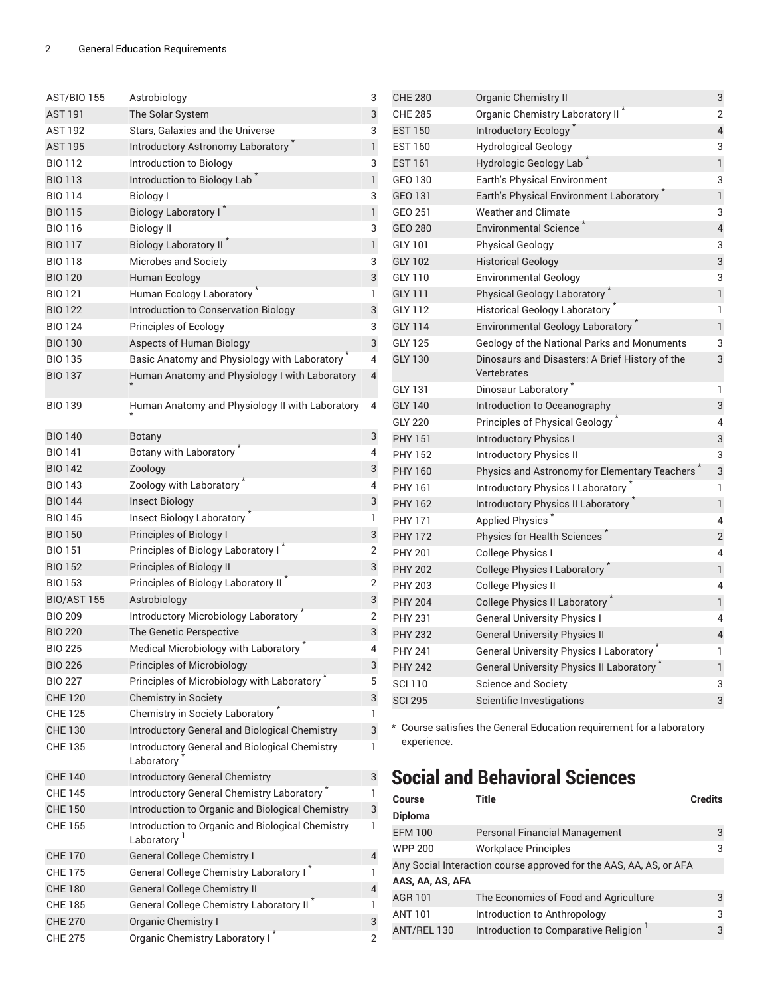| <b>AST/BIO 155</b> | Astrobiology                                                | 3                         | <b>CHE 280</b>   | Organic Chemistry II                    |
|--------------------|-------------------------------------------------------------|---------------------------|------------------|-----------------------------------------|
| <b>AST 191</b>     | The Solar System                                            | $\mathbf{3}$              | <b>CHE 285</b>   | Organic Chemistry L                     |
| AST 192            | Stars, Galaxies and the Universe                            | 3                         | <b>EST 150</b>   | Introductory Ecology                    |
| <b>AST 195</b>     | Introductory Astronomy Laboratory                           | $\mathbf{1}$              | <b>EST 160</b>   | <b>Hydrological Geolog</b>              |
| BIO 112            | Introduction to Biology                                     | 3                         | <b>EST 161</b>   | Hydrologic Geology                      |
| <b>BIO 113</b>     | Introduction to Biology Lab                                 | $\mathbf{1}$              | GEO 130          | Earth's Physical Env                    |
| <b>BIO 114</b>     | <b>Biology I</b>                                            | 3                         | GEO 131          | Earth's Physical Envi                   |
| <b>BIO 115</b>     | <b>Biology Laboratory I*</b>                                | $\mathbbm{1}$             | GEO 251          | <b>Weather and Climate</b>              |
| <b>BIO 116</b>     | <b>Biology II</b>                                           | 3                         | <b>GEO 280</b>   | <b>Environmental Scien</b>              |
| <b>BIO 117</b>     | <b>Biology Laboratory II</b>                                | $\mathbbm{1}$             | GLY 101          | <b>Physical Geology</b>                 |
| <b>BIO 118</b>     | Microbes and Society                                        | 3                         | <b>GLY 102</b>   | <b>Historical Geology</b>               |
| <b>BIO 120</b>     | Human Ecology                                               | $\mathfrak{S}$            | GLY 110          | <b>Environmental Geold</b>              |
| <b>BIO 121</b>     | Human Ecology Laboratory                                    | 1                         | <b>GLY 111</b>   | Physical Geology La                     |
| <b>BIO 122</b>     | Introduction to Conservation Biology                        | $\sqrt{3}$                | GLY 112          | Historical Geology La                   |
| <b>BIO 124</b>     | Principles of Ecology                                       | 3                         | <b>GLY 114</b>   | <b>Environmental Geolc</b>              |
| <b>BIO 130</b>     | <b>Aspects of Human Biology</b>                             | $\sqrt{3}$                | <b>GLY 125</b>   | Geology of the Natio                    |
| <b>BIO 135</b>     | Basic Anatomy and Physiology with Laboratory                | $\overline{4}$            | <b>GLY 130</b>   | Dinosaurs and Disas                     |
| <b>BIO 137</b>     | Human Anatomy and Physiology I with Laboratory              | $\overline{4}$            |                  | Vertebrates                             |
|                    |                                                             |                           | <b>GLY 131</b>   | Dinosaur Laboratory                     |
| <b>BIO 139</b>     | Human Anatomy and Physiology II with Laboratory             | 4                         | GLY 140          | Introduction to Ocea                    |
|                    |                                                             |                           | <b>GLY 220</b>   | Principles of Physica                   |
| <b>BIO 140</b>     | <b>Botany</b>                                               | $\ensuremath{\mathsf{3}}$ | <b>PHY 151</b>   | <b>Introductory Physics</b>             |
| <b>BIO 141</b>     | Botany with Laboratory                                      | 4                         | <b>PHY 152</b>   | <b>Introductory Physics</b>             |
| <b>BIO 142</b>     | Zoology                                                     | $\ensuremath{\mathsf{3}}$ | <b>PHY 160</b>   | Physics and Astrono                     |
| <b>BIO 143</b>     | Zoology with Laboratory                                     | 4                         | PHY 161          | <b>Introductory Physics</b>             |
| <b>BIO 144</b>     | <b>Insect Biology</b>                                       | $\ensuremath{\mathsf{3}}$ | <b>PHY 162</b>   | <b>Introductory Physics</b>             |
| <b>BIO 145</b>     | Insect Biology Laboratory                                   | 1                         | <b>PHY 171</b>   | Applied Physics <sup>7</sup>            |
| <b>BIO 150</b>     | Principles of Biology I                                     | $\ensuremath{\mathsf{3}}$ | <b>PHY 172</b>   | Physics for Health S                    |
| <b>BIO 151</b>     | Principles of Biology Laboratory I                          | $\overline{2}$            | <b>PHY 201</b>   | College Physics I                       |
| <b>BIO 152</b>     | Principles of Biology II                                    | $\ensuremath{\mathsf{3}}$ | <b>PHY 202</b>   | College Physics I Lal                   |
| <b>BIO 153</b>     | Principles of Biology Laboratory II                         | $\mathbf{2}$              | <b>PHY 203</b>   | <b>College Physics II</b>               |
| <b>BIO/AST 155</b> | Astrobiology                                                | $\ensuremath{\mathsf{3}}$ | <b>PHY 204</b>   | College Physics II La                   |
| <b>BIO 209</b>     | Introductory Microbiology Laboratory                        | $\overline{2}$            | <b>PHY 231</b>   | <b>General University P</b>             |
| <b>BIO 220</b>     | The Genetic Perspective                                     | $\sqrt{3}$                | <b>PHY 232</b>   | <b>General University P</b>             |
| <b>BIO 225</b>     | Medical Microbiology with Laboratory                        | 4                         | <b>PHY 241</b>   | General University P                    |
| <b>BIO 226</b>     | <b>Principles of Microbiology</b>                           | $\ensuremath{\mathsf{3}}$ | <b>PHY 242</b>   | <b>General University P</b>             |
| <b>BIO 227</b>     | Principles of Microbiology with Laboratory                  | 5                         | <b>SCI 110</b>   | <b>Science and Society</b>              |
| <b>CHE 120</b>     | <b>Chemistry in Society</b>                                 | $\ensuremath{\mathsf{3}}$ | <b>SCI 295</b>   | Scientific Investigati                  |
| <b>CHE 125</b>     | Chemistry in Society Laboratory <sup>*</sup>                | 1                         |                  |                                         |
| <b>CHE 130</b>     | Introductory General and Biological Chemistry               | $\mathsf{3}$              |                  | * Course satisfies the General Educatio |
| CHE 135            | Introductory General and Biological Chemistry<br>Laboratory | $\mathbf{1}$              | experience.      |                                         |
| <b>CHE 140</b>     | Introductory General Chemistry                              | 3                         |                  | <b>Social and Behavioral &amp;</b>      |
| <b>CHE 145</b>     | Introductory General Chemistry Laboratory                   | 1                         | <b>Course</b>    | Title                                   |
| <b>CHE 150</b>     | Introduction to Organic and Biological Chemistry            | $\ensuremath{\mathsf{3}}$ | <b>Diploma</b>   |                                         |
| <b>CHE 155</b>     | Introduction to Organic and Biological Chemistry            | 1                         |                  |                                         |
|                    | Laboratory                                                  |                           | <b>EFM 100</b>   | Personal Financial M                    |
| <b>CHE 170</b>     | <b>General College Chemistry I</b>                          | $\overline{4}$            | <b>WPP 200</b>   | <b>Workplace Principles</b>             |
| <b>CHE 175</b>     | General College Chemistry Laboratory I                      | 1                         |                  | Any Social Interaction course approved  |
| <b>CHE 180</b>     | <b>General College Chemistry II</b>                         | 4                         | AAS, AA, AS, AFA |                                         |
| <b>CHE 185</b>     | General College Chemistry Laboratory II                     | 1                         | <b>AGR 101</b>   | The Economics of Fo                     |
| <b>CHE 270</b>     | Organic Chemistry I                                         | 3                         | <b>ANT 101</b>   | Introduction to Anth                    |
| <b>CHE 275</b>     | Organic Chemistry Laboratory I                              | $\overline{2}$            | ANT/REL 130      | Introduction to Com                     |

| <b>CHE 280</b> | <b>Organic Chemistry II</b>                                    | 3                        |
|----------------|----------------------------------------------------------------|--------------------------|
| <b>CHE 285</b> | Organic Chemistry Laboratory II <sup>*</sup>                   | 2                        |
| <b>EST 150</b> | Introductory Ecology                                           | $\overline{\mathcal{L}}$ |
| <b>EST 160</b> | <b>Hydrological Geology</b>                                    | 3                        |
| <b>EST 161</b> | Hydrologic Geology Lab <sup>*</sup>                            | $\mathbf{1}$             |
| GEO 130        | Earth's Physical Environment                                   | 3                        |
| GEO 131        | Earth's Physical Environment Laboratory <sup>*</sup>           | $\mathbf{1}$             |
| GEO 251        | <b>Weather and Climate</b>                                     | 3                        |
| <b>GEO 280</b> | <b>Environmental Science</b>                                   | $\overline{4}$           |
| GLY 101        | <b>Physical Geology</b>                                        | 3                        |
| <b>GLY 102</b> | <b>Historical Geology</b>                                      | 3                        |
| GLY 110        | <b>Environmental Geology</b>                                   | 3                        |
| <b>GLY 111</b> | Physical Geology Laboratory                                    | $\mathbf{1}$             |
| <b>GLY 112</b> | <b>Historical Geology Laboratory</b>                           | 1                        |
| <b>GLY 114</b> | <b>Environmental Geology Laboratory</b>                        | $\mathbf{1}$             |
| <b>GLY 125</b> | Geology of the National Parks and Monuments                    | 3                        |
| <b>GLY 130</b> | Dinosaurs and Disasters: A Brief History of the<br>Vertebrates | 3                        |
| <b>GLY 131</b> | Dinosaur Laboratory                                            | 1                        |
| <b>GLY 140</b> | Introduction to Oceanography                                   | 3                        |
| <b>GLY 220</b> | Principles of Physical Geology                                 | 4                        |
| <b>PHY 151</b> | <b>Introductory Physics I</b>                                  | 3                        |
| <b>PHY 152</b> | <b>Introductory Physics II</b>                                 | 3                        |
| <b>PHY 160</b> | Physics and Astronomy for Elementary Teachers <sup>*</sup>     | 3                        |
| PHY 161        | Introductory Physics I Laboratory                              | 1                        |
| <b>PHY 162</b> | Introductory Physics II Laboratory                             | $\mathbf{1}$             |
| <b>PHY 171</b> | <b>Applied Physics</b>                                         | 4                        |
| <b>PHY 172</b> | Physics for Health Sciences                                    | $\overline{c}$           |
| <b>PHY 201</b> | College Physics I                                              | 4                        |
| <b>PHY 202</b> | College Physics I Laboratory                                   | $\mathbf{1}$             |
| <b>PHY 203</b> | <b>College Physics II</b>                                      | 4                        |
| <b>PHY 204</b> | College Physics II Laboratory                                  | 1                        |
| <b>PHY 231</b> | <b>General University Physics I</b>                            | 4                        |
| <b>PHY 232</b> | <b>General University Physics II</b>                           | $\overline{4}$           |
| <b>PHY 241</b> | <b>General University Physics I Laboratory</b>                 | 1                        |
| <b>PHY 242</b> | General University Physics II Laboratory                       | 1                        |
| <b>SCI 110</b> | Science and Society                                            | 3                        |
| <b>SCI 295</b> | Scientific Investigations                                      | 3                        |

on requirement for a laboratory

# **Social and Behavioral Sciences**

| Course           | <b>Title</b>                                                       | <b>Credits</b> |  |  |
|------------------|--------------------------------------------------------------------|----------------|--|--|
| Diploma          |                                                                    |                |  |  |
| <b>EFM 100</b>   | <b>Personal Financial Management</b>                               | 3              |  |  |
| <b>WPP 200</b>   | <b>Workplace Principles</b>                                        | 3              |  |  |
|                  | Any Social Interaction course approved for the AAS, AA, AS, or AFA |                |  |  |
| AAS, AA, AS, AFA |                                                                    |                |  |  |
| AGR 101          | The Economics of Food and Agriculture                              | 3              |  |  |
| ANT 101          | Introduction to Anthropology                                       | 3              |  |  |
| ANT/REL 130      | Introduction to Comparative Religion                               | 3              |  |  |
|                  |                                                                    |                |  |  |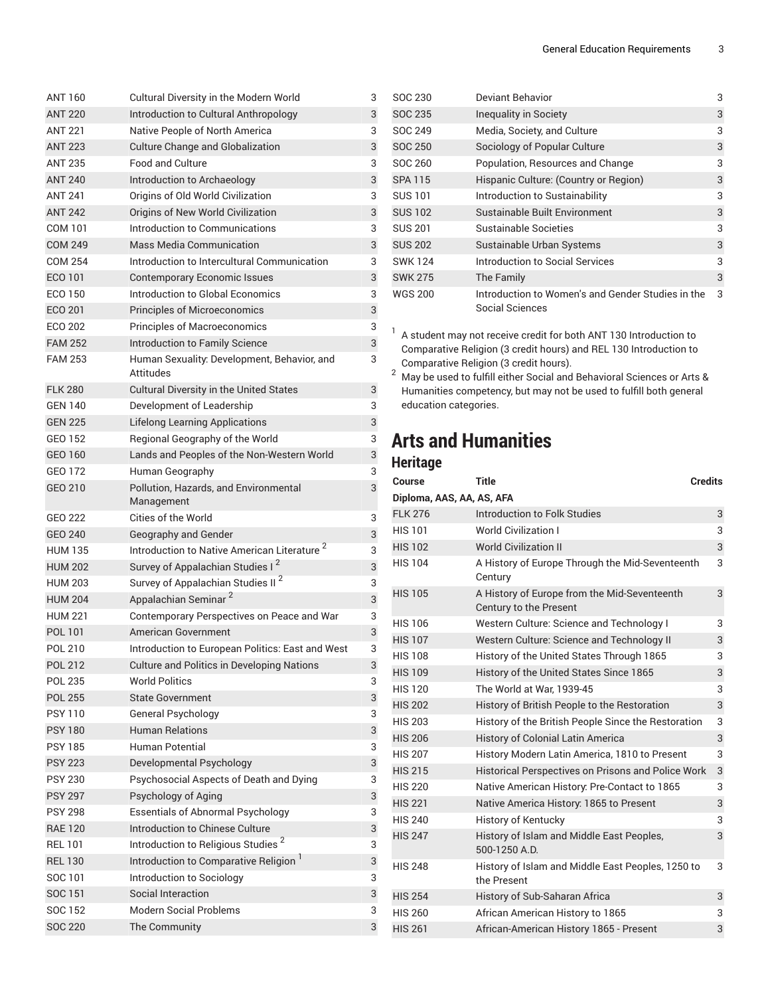| <b>ANT 160</b> | Cultural Diversity in the Modern World                  | 3 |
|----------------|---------------------------------------------------------|---|
| <b>ANT 220</b> | Introduction to Cultural Anthropology                   | 3 |
| <b>ANT 221</b> | Native People of North America                          | 3 |
| <b>ANT 223</b> | <b>Culture Change and Globalization</b>                 | 3 |
| <b>ANT 235</b> | <b>Food and Culture</b>                                 | 3 |
| <b>ANT 240</b> | Introduction to Archaeology                             | 3 |
| <b>ANT 241</b> | Origins of Old World Civilization                       | 3 |
| <b>ANT 242</b> | Origins of New World Civilization                       | 3 |
| COM 101        | Introduction to Communications                          | 3 |
| <b>COM 249</b> | Mass Media Communication                                | 3 |
| <b>COM 254</b> | Introduction to Intercultural Communication             | 3 |
| ECO 101        | <b>Contemporary Economic Issues</b>                     | 3 |
| ECO 150        | Introduction to Global Economics                        | 3 |
| ECO 201        | <b>Principles of Microeconomics</b>                     | 3 |
| ECO 202        | <b>Principles of Macroeconomics</b>                     | 3 |
| <b>FAM 252</b> | Introduction to Family Science                          | 3 |
| <b>FAM 253</b> | Human Sexuality: Development, Behavior, and             | 3 |
|                | Attitudes                                               |   |
| <b>FLK 280</b> | <b>Cultural Diversity in the United States</b>          | 3 |
| <b>GEN 140</b> | Development of Leadership                               | 3 |
| <b>GEN 225</b> | <b>Lifelong Learning Applications</b>                   | 3 |
| GEO 152        | Regional Geography of the World                         | 3 |
| GEO 160        | Lands and Peoples of the Non-Western World              | 3 |
| GEO 172        | Human Geography                                         | 3 |
| GEO 210        | Pollution, Hazards, and Environmental<br>Management     | 3 |
| GEO 222        | Cities of the World                                     | 3 |
| GEO 240        | Geography and Gender                                    | 3 |
| <b>HUM 135</b> | Introduction to Native American Literature <sup>2</sup> | 3 |
| <b>HUM 202</b> | Survey of Appalachian Studies I <sup>2</sup>            | 3 |
| <b>HUM 203</b> | Survey of Appalachian Studies II <sup>2</sup>           | 3 |
| <b>HUM 204</b> | Appalachian Seminar <sup>2</sup>                        | 3 |
| <b>HUM 221</b> | Contemporary Perspectives on Peace and War              | 3 |
| POL 101        | American Government                                     | 3 |
| POL 210        | Introduction to European Politics: East and West        | 3 |
| <b>POL 212</b> | <b>Culture and Politics in Developing Nations</b>       | 3 |
| <b>POL 235</b> | <b>World Politics</b>                                   | 3 |
| <b>POL 255</b> | <b>State Government</b>                                 | 3 |
| <b>PSY 110</b> | General Psychology                                      | 3 |
| <b>PSY 180</b> | <b>Human Relations</b>                                  | 3 |
| <b>PSY 185</b> | <b>Human Potential</b>                                  | 3 |
| <b>PSY 223</b> | Developmental Psychology                                | 3 |
| <b>PSY 230</b> | Psychosocial Aspects of Death and Dying                 | 3 |
| <b>PSY 297</b> | Psychology of Aging                                     | 3 |
| <b>PSY 298</b> | <b>Essentials of Abnormal Psychology</b>                | 3 |
| <b>RAE 120</b> | Introduction to Chinese Culture                         | 3 |
| <b>REL 101</b> | Introduction to Religious Studies <sup>2</sup>          | 3 |
| <b>REL 130</b> | Introduction to Comparative Religion                    | 3 |
| SOC 101        | Introduction to Sociology                               | 3 |
| SOC 151        | Social Interaction                                      | 3 |
| SOC 152        | <b>Modern Social Problems</b>                           | 3 |
| <b>SOC 220</b> | The Community                                           | 3 |

| SOC 230        | Deviant Behavior                                                     | 3 |
|----------------|----------------------------------------------------------------------|---|
| SOC 235        | <b>Inequality in Society</b>                                         | 3 |
| SOC 249        | Media, Society, and Culture                                          | 3 |
| <b>SOC 250</b> | Sociology of Popular Culture                                         | 3 |
| SOC 260        | Population, Resources and Change                                     | 3 |
| <b>SPA 115</b> | Hispanic Culture: (Country or Region)                                | 3 |
| <b>SUS 101</b> | Introduction to Sustainability                                       | 3 |
| <b>SUS 102</b> | Sustainable Built Environment                                        | 3 |
| <b>SUS 201</b> | Sustainable Societies                                                | 3 |
| <b>SUS 202</b> | Sustainable Urban Systems                                            | 3 |
| <b>SWK124</b>  | Introduction to Social Services                                      | 3 |
| <b>SWK 275</b> | The Family                                                           | 3 |
| WGS 200        | Introduction to Women's and Gender Studies in the<br>Social Sciences | 3 |

 $1$  A student may not receive credit for both ANT 130 Introduction to Comparative Religion (3 credit hours) and REL 130 Introduction to Comparative Religion (3 credit hours).

 $^2\,$  May be used to fulfill either Social and Behavioral Sciences or Arts & Humanities competency, but may not be used to fulfill both general education categories.

# **Arts and Humanities**

### **Heritage**

| Course                    | <b>Title</b>                                                           | <b>Credits</b> |
|---------------------------|------------------------------------------------------------------------|----------------|
| Diploma, AAS, AA, AS, AFA |                                                                        |                |
| <b>FLK 276</b>            | <b>Introduction to Folk Studies</b>                                    | 3              |
| <b>HIS 101</b>            | <b>World Civilization I</b>                                            | 3              |
| <b>HIS 102</b>            | <b>World Civilization II</b>                                           | 3              |
| <b>HIS 104</b>            | A History of Europe Through the Mid-Seventeenth<br>Century             | 3              |
| <b>HIS 105</b>            | A History of Europe from the Mid-Seventeenth<br>Century to the Present | 3              |
| <b>HIS 106</b>            | Western Culture: Science and Technology I                              | 3              |
| <b>HIS 107</b>            | Western Culture: Science and Technology II                             | 3              |
| <b>HIS 108</b>            | History of the United States Through 1865                              | 3              |
| <b>HIS 109</b>            | History of the United States Since 1865                                | 3              |
| <b>HIS 120</b>            | The World at War. 1939-45                                              | 3              |
| <b>HIS 202</b>            | History of British People to the Restoration                           | 3              |
| <b>HIS 203</b>            | History of the British People Since the Restoration                    | 3              |
| <b>HIS 206</b>            | <b>History of Colonial Latin America</b>                               | 3              |
| <b>HIS 207</b>            | History Modern Latin America, 1810 to Present                          | 3              |
| <b>HIS 215</b>            | <b>Historical Perspectives on Prisons and Police Work</b>              | 3              |
| <b>HIS 220</b>            | Native American History: Pre-Contact to 1865                           | 3              |
| <b>HIS 221</b>            | Native America History: 1865 to Present                                | 3              |
| <b>HIS 240</b>            | History of Kentucky                                                    | 3              |
| <b>HIS 247</b>            | History of Islam and Middle East Peoples,<br>500-1250 A.D.             | 3              |
| <b>HIS 248</b>            | History of Islam and Middle East Peoples, 1250 to<br>the Present       | 3              |
| <b>HIS 254</b>            | History of Sub-Saharan Africa                                          | 3              |
| <b>HIS 260</b>            | African American History to 1865                                       | 3              |
| <b>HIS 261</b>            | African-American History 1865 - Present                                | 3              |
|                           |                                                                        |                |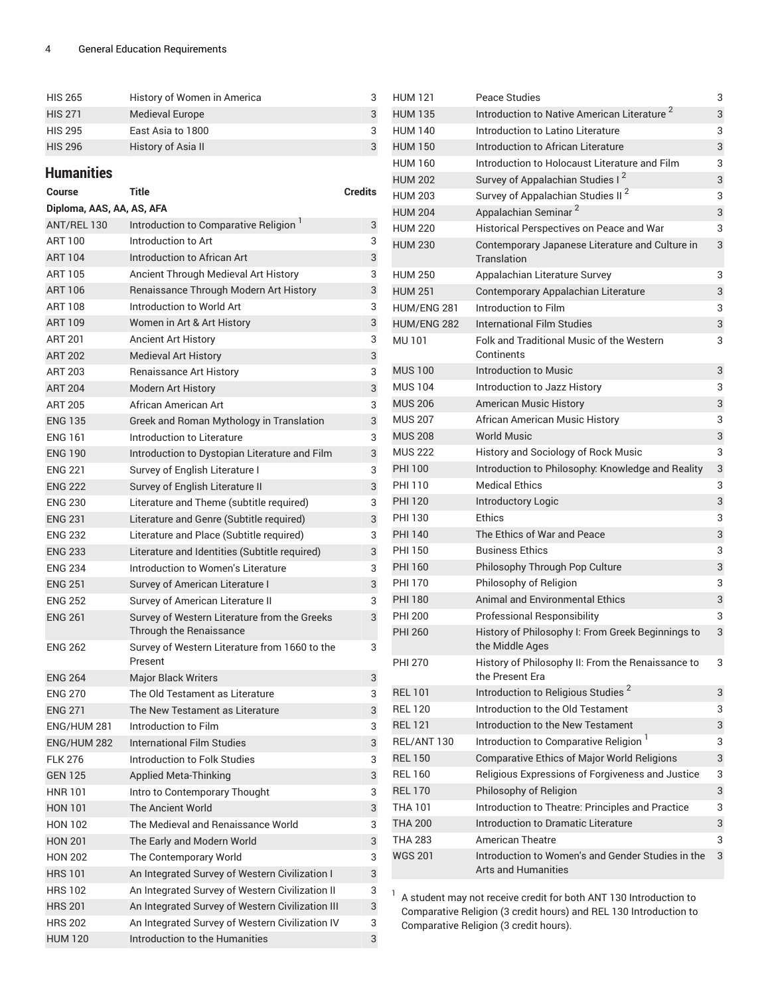| <b>HIS 265</b> | History of Women in America |  |
|----------------|-----------------------------|--|
| <b>HIS 271</b> | Medieval Europe             |  |
| <b>HIS 295</b> | East Asia to 1800           |  |
| <b>HIS 296</b> | History of Asia II          |  |

### **Humanities**

| Course                    | Title                                                                   | <b>Credits</b> |
|---------------------------|-------------------------------------------------------------------------|----------------|
| Diploma, AAS, AA, AS, AFA |                                                                         |                |
| ANT/REL 130               | Introduction to Comparative Religion <sup>1</sup>                       | 3              |
| ART 100                   | Introduction to Art                                                     | 3              |
| <b>ART 104</b>            | Introduction to African Art                                             | 3              |
| <b>ART 105</b>            | Ancient Through Medieval Art History                                    | 3              |
| <b>ART 106</b>            | Renaissance Through Modern Art History                                  | 3              |
| <b>ART 108</b>            | Introduction to World Art                                               | 3              |
| <b>ART 109</b>            | Women in Art & Art History                                              | 3              |
| <b>ART 201</b>            | <b>Ancient Art History</b>                                              | 3              |
| <b>ART 202</b>            | <b>Medieval Art History</b>                                             | $\mathsf 3$    |
| ART 203                   | <b>Renaissance Art History</b>                                          | 3              |
| <b>ART 204</b>            | <b>Modern Art History</b>                                               | 3              |
| <b>ART 205</b>            | African American Art                                                    | 3              |
| <b>ENG 135</b>            | Greek and Roman Mythology in Translation                                | 3              |
| <b>ENG 161</b>            | Introduction to Literature                                              | 3              |
| <b>ENG 190</b>            | Introduction to Dystopian Literature and Film                           | 3              |
| <b>ENG 221</b>            | Survey of English Literature I                                          | 3              |
| <b>ENG 222</b>            | Survey of English Literature II                                         | 3              |
| <b>ENG 230</b>            | Literature and Theme (subtitle required)                                | 3              |
| <b>ENG 231</b>            | Literature and Genre (Subtitle required)                                | 3              |
| <b>FNG 232</b>            | Literature and Place (Subtitle required)                                | 3              |
| <b>ENG 233</b>            | Literature and Identities (Subtitle required)                           | 3              |
| <b>ENG 234</b>            | Introduction to Women's Literature                                      | 3              |
| <b>ENG 251</b>            | Survey of American Literature I                                         | 3              |
| <b>ENG 252</b>            | Survey of American Literature II                                        | 3              |
| <b>ENG 261</b>            | Survey of Western Literature from the Greeks<br>Through the Renaissance | 3              |
| <b>ENG 262</b>            | Survey of Western Literature from 1660 to the<br>Present                | 3              |
| <b>ENG 264</b>            | <b>Major Black Writers</b>                                              | 3              |
| <b>ENG 270</b>            | The Old Testament as Literature                                         | 3              |
| <b>ENG 271</b>            | The New Testament as Literature                                         | 3              |
| ENG/HUM 281               | Introduction to Film                                                    | 3              |
| ENG/HUM 282               | International Film Studies                                              | 3              |
| <b>FLK 276</b>            | Introduction to Folk Studies                                            | 3              |
| <b>GEN 125</b>            | <b>Applied Meta-Thinking</b>                                            | 3              |
| <b>HNR101</b>             | Intro to Contemporary Thought                                           | 3              |
| <b>HON 101</b>            | The Ancient World                                                       | 3              |
| <b>HON 102</b>            | The Medieval and Renaissance World                                      | 3              |
| <b>HON 201</b>            | The Early and Modern World                                              | 3              |
| <b>HON 202</b>            | The Contemporary World                                                  | 3              |
| <b>HRS 101</b>            | An Integrated Survey of Western Civilization I                          | 3              |
| <b>HRS 102</b>            | An Integrated Survey of Western Civilization II                         | 3              |
| <b>HRS 201</b>            | An Integrated Survey of Western Civilization III                        | 3              |
| <b>HRS 202</b>            | An Integrated Survey of Western Civilization IV                         | 3              |
| <b>HUM 120</b>            | Introduction to the Humanities                                          | 3              |

| <b>HUM 121</b> | Peace Studies                                                                   | 3 |
|----------------|---------------------------------------------------------------------------------|---|
| <b>HUM 135</b> | Introduction to Native American Literature <sup>2</sup>                         | 3 |
| <b>HUM 140</b> | Introduction to Latino Literature                                               | 3 |
| <b>HUM 150</b> | Introduction to African Literature                                              | 3 |
| <b>HUM 160</b> | Introduction to Holocaust Literature and Film                                   | 3 |
| <b>HUM 202</b> | Survey of Appalachian Studies I <sup>2</sup>                                    | 3 |
| <b>HUM 203</b> | Survey of Appalachian Studies II <sup>2</sup>                                   | 3 |
| <b>HUM 204</b> | Appalachian Seminar <sup>2</sup>                                                | 3 |
| <b>HUM 220</b> | Historical Perspectives on Peace and War                                        | 3 |
| <b>HUM 230</b> | Contemporary Japanese Literature and Culture in<br>Translation                  | 3 |
| <b>HUM 250</b> | Appalachian Literature Survey                                                   | 3 |
| <b>HUM 251</b> | Contemporary Appalachian Literature                                             | 3 |
| HUM/ENG 281    | Introduction to Film                                                            | 3 |
| HUM/ENG 282    | <b>International Film Studies</b>                                               | 3 |
| <b>MU101</b>   | Folk and Traditional Music of the Western<br>Continents                         | 3 |
| <b>MUS 100</b> | Introduction to Music                                                           | 3 |
| <b>MUS 104</b> | Introduction to Jazz History                                                    | 3 |
| <b>MUS 206</b> | <b>American Music History</b>                                                   | 3 |
| <b>MUS 207</b> | <b>African American Music History</b>                                           | 3 |
| <b>MUS 208</b> | <b>World Music</b>                                                              | 3 |
| <b>MUS 222</b> | History and Sociology of Rock Music                                             | 3 |
| <b>PHI 100</b> | Introduction to Philosophy: Knowledge and Reality                               | 3 |
| PHI 110        | <b>Medical Ethics</b>                                                           | 3 |
| <b>PHI 120</b> | Introductory Logic                                                              | 3 |
| PHI 130        | Ethics                                                                          | 3 |
| <b>PHI 140</b> | The Ethics of War and Peace                                                     | 3 |
| <b>PHI 150</b> | <b>Business Ethics</b>                                                          | 3 |
| <b>PHI 160</b> | Philosophy Through Pop Culture                                                  | 3 |
| <b>PHI 170</b> | Philosophy of Religion                                                          | 3 |
| <b>PHI 180</b> | <b>Animal and Environmental Ethics</b>                                          | 3 |
| <b>PHI 200</b> | <b>Professional Responsibility</b>                                              | 3 |
| <b>PHI 260</b> | History of Philosophy I: From Greek Beginnings to<br>the Middle Ages            | 3 |
| <b>PHI 270</b> | History of Philosophy II: From the Renaissance to<br>the Present Era            | 3 |
| <b>REL 101</b> | Introduction to Religious Studies <sup>2</sup>                                  | 3 |
| <b>REL 120</b> | Introduction to the Old Testament                                               | 3 |
| <b>REL 121</b> | Introduction to the New Testament                                               | 3 |
| REL/ANT 130    | Introduction to Comparative Religion <sup>1</sup>                               | 3 |
| <b>REL 150</b> | <b>Comparative Ethics of Major World Religions</b>                              | 3 |
| <b>REL 160</b> | Religious Expressions of Forgiveness and Justice                                | 3 |
| <b>REL 170</b> | Philosophy of Religion                                                          | 3 |
| <b>THA 101</b> | Introduction to Theatre: Principles and Practice                                | 3 |
| <b>THA 200</b> | Introduction to Dramatic Literature                                             | 3 |
| THA 283        | <b>American Theatre</b>                                                         | 3 |
| <b>WGS 201</b> | Introduction to Women's and Gender Studies in the<br><b>Arts and Humanities</b> | 3 |

 $1$  A student may not receive credit for both ANT 130 Introduction to Comparative Religion (3 credit hours) and REL 130 Introduction to Comparative Religion (3 credit hours).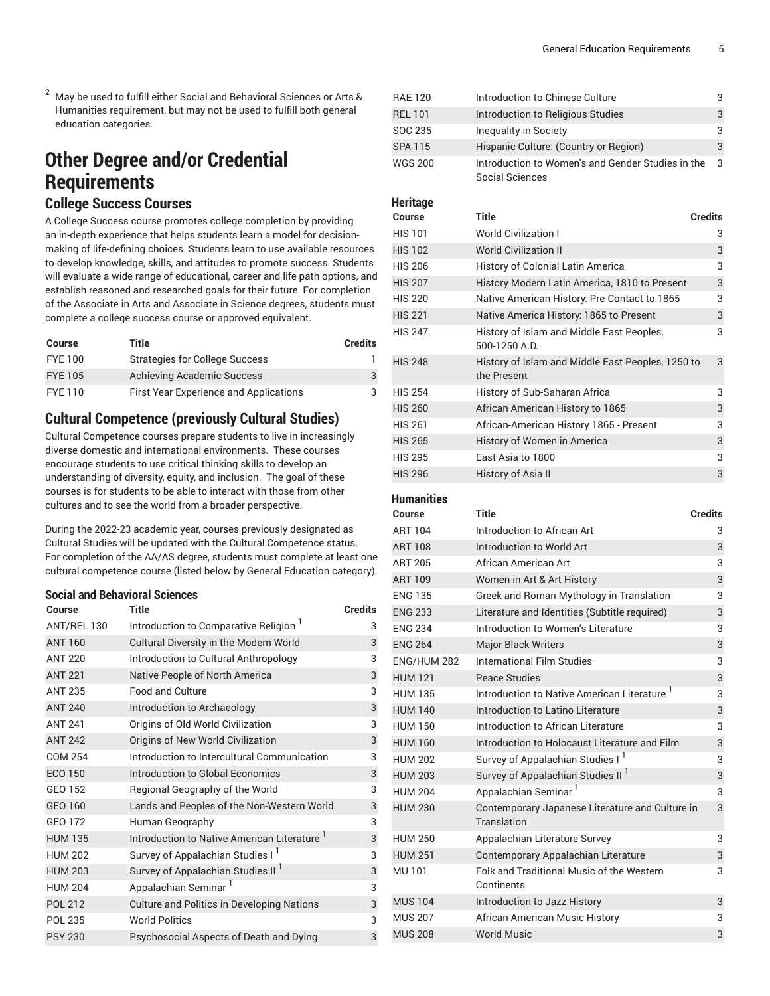<sup>2</sup> May be used to fulfill either Social and Behavioral Sciences or Arts & Humanities requirement, but may not be used to fulfill both general education categories.

# **Other Degree and/or Credential Requirements**

#### **College Success Courses**

A College Success course promotes college completion by providing an in-depth experience that helps students learn a model for decisionmaking of life-defining choices. Students learn to use available resources to develop knowledge, skills, and attitudes to promote success. Students will evaluate a wide range of educational, career and life path options, and establish reasoned and researched goals for their future. For completion of the Associate in Arts and Associate in Science degrees, students must complete a college success course or approved equivalent.

| Course         | Title                                         | <b>Credits</b> |
|----------------|-----------------------------------------------|----------------|
| FYE 100        | <b>Strategies for College Success</b>         |                |
| <b>FYE 105</b> | Achieving Academic Success                    | 3              |
| FYE 110        | <b>First Year Experience and Applications</b> | 3              |

### **Cultural Competence (previously Cultural Studies)**

Cultural Competence courses prepare students to live in increasingly diverse domestic and international environments. These courses encourage students to use critical thinking skills to develop an understanding of diversity, equity, and inclusion. The goal of these courses is for students to be able to interact with those from other cultures and to see the world from a broader perspective.

During the 2022-23 academic year, courses previously designated as Cultural Studies will be updated with the Cultural Competence status. For completion of the AA/AS degree, students must complete at least one cultural competence course (listed below by General Education category).

#### **Social and Behavioral Sciences**

| Course         | Title                                             | <b>Credits</b> |
|----------------|---------------------------------------------------|----------------|
| ANT/REL 130    | Introduction to Comparative Religion              | 3              |
| <b>ANT 160</b> | <b>Cultural Diversity in the Modern World</b>     | 3              |
| <b>ANT 220</b> | Introduction to Cultural Anthropology             | 3              |
| <b>ANT 221</b> | Native People of North America                    | 3              |
| <b>ANT 235</b> | <b>Food and Culture</b>                           | 3              |
| <b>ANT 240</b> | Introduction to Archaeology                       | 3              |
| <b>ANT 241</b> | Origins of Old World Civilization                 | 3              |
| <b>ANT 242</b> | Origins of New World Civilization                 | 3              |
| <b>COM 254</b> | Introduction to Intercultural Communication       | 3              |
| <b>ECO 150</b> | Introduction to Global Economics                  | 3              |
| GEO 152        | Regional Geography of the World                   | 3              |
| GEO 160        | Lands and Peoples of the Non-Western World        | 3              |
| GEO 172        | Human Geography                                   | 3              |
| <b>HUM 135</b> | Introduction to Native American Literature        | 3              |
| <b>HUM 202</b> | Survey of Appalachian Studies I                   | 3              |
| <b>HUM 203</b> | Survey of Appalachian Studies II                  | 3              |
| <b>HUM 204</b> | Appalachian Seminar <sup>1</sup>                  | 3              |
| <b>POL 212</b> | <b>Culture and Politics in Developing Nations</b> | 3              |
| <b>POL 235</b> | <b>World Politics</b>                             | 3              |
| <b>PSY 230</b> | Psychosocial Aspects of Death and Dying           | 3              |

| <b>RAE 120</b> | Introduction to Chinese Culture                                      | з |
|----------------|----------------------------------------------------------------------|---|
| <b>REL 101</b> | Introduction to Religious Studies                                    | 3 |
| SOC 235        | Inequality in Society                                                | 3 |
| <b>SPA 115</b> | Hispanic Culture: (Country or Region)                                |   |
| <b>WGS 200</b> | Introduction to Women's and Gender Studies in the<br>Social Sciences | 3 |

#### **Heritage**

| <b>Course</b>  | <b>Title</b>                                                     | <b>Credits</b> |
|----------------|------------------------------------------------------------------|----------------|
| <b>HIS 101</b> | <b>World Civilization I</b>                                      | 3              |
| <b>HIS 102</b> | <b>World Civilization II</b>                                     | 3              |
| <b>HIS 206</b> | <b>History of Colonial Latin America</b>                         | 3              |
| <b>HIS 207</b> | History Modern Latin America, 1810 to Present                    | 3              |
| <b>HIS 220</b> | Native American History: Pre-Contact to 1865                     | 3              |
| <b>HIS 221</b> | Native America History: 1865 to Present                          | 3              |
| <b>HIS 247</b> | History of Islam and Middle East Peoples,<br>500-1250 A.D.       | 3              |
| <b>HIS 248</b> | History of Islam and Middle East Peoples, 1250 to<br>the Present | 3              |
| <b>HIS 254</b> | History of Sub-Saharan Africa                                    | 3              |
| <b>HIS 260</b> | African American History to 1865                                 | 3              |
| <b>HIS 261</b> | African-American History 1865 - Present                          | 3              |
| <b>HIS 265</b> | History of Women in America                                      | 3              |
| <b>HIS 295</b> | East Asia to 1800                                                | 3              |
| <b>HIS 296</b> | History of Asia II                                               | 3              |

#### **Humanities**

#### **Course Title Credits**

| <b>ART 104</b> | Introduction to African Art                                    | 3 |
|----------------|----------------------------------------------------------------|---|
| <b>ART 108</b> | Introduction to World Art                                      | 3 |
| <b>ART 205</b> | African American Art                                           | 3 |
| <b>ART 109</b> | Women in Art & Art History                                     | 3 |
| <b>ENG 135</b> | Greek and Roman Mythology in Translation                       | 3 |
| <b>ENG 233</b> | Literature and Identities (Subtitle required)                  | 3 |
| <b>ENG 234</b> | Introduction to Women's Literature                             | 3 |
| <b>ENG 264</b> | <b>Major Black Writers</b>                                     | 3 |
| ENG/HUM 282    | <b>International Film Studies</b>                              | 3 |
| <b>HUM 121</b> | <b>Peace Studies</b>                                           | 3 |
| <b>HUM 135</b> | Introduction to Native American Literature <sup>1</sup>        | 3 |
| <b>HUM 140</b> | Introduction to Latino Literature                              | 3 |
| <b>HUM 150</b> | Introduction to African Literature                             | 3 |
| <b>HUM 160</b> | Introduction to Holocaust Literature and Film                  | 3 |
| <b>HUM 202</b> | Survey of Appalachian Studies I <sup>1</sup>                   | 3 |
| <b>HUM 203</b> | Survey of Appalachian Studies II                               | 3 |
| <b>HUM 204</b> | Appalachian Seminar <sup>1</sup>                               | 3 |
| <b>HUM 230</b> | Contemporary Japanese Literature and Culture in<br>Translation | 3 |
| <b>HUM 250</b> | Appalachian Literature Survey                                  | 3 |
| <b>HUM 251</b> | Contemporary Appalachian Literature                            | 3 |
| <b>MU101</b>   | Folk and Traditional Music of the Western<br>Continents        | 3 |
| <b>MUS 104</b> | Introduction to Jazz History                                   | 3 |
| <b>MUS 207</b> | African American Music History                                 | 3 |
| <b>MUS 208</b> | <b>World Music</b>                                             | 3 |
|                |                                                                |   |